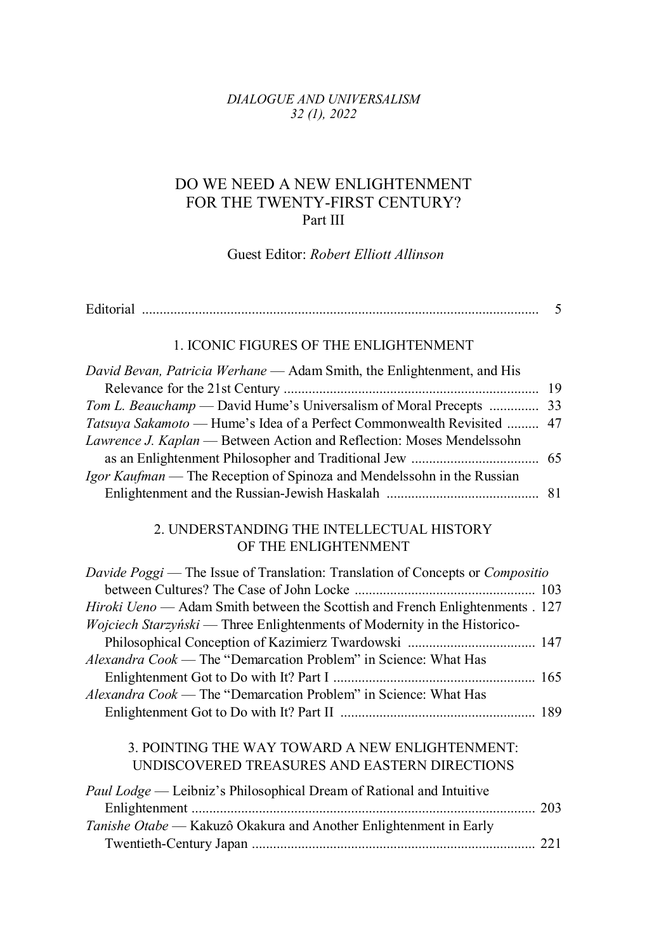## *DIALOGUE AND UNIVERSALISM 32 (1), 2022*

## DO WE NEED A NEW ENLIGHTENMENT FOR THE TWENTY-FIRST CENTURY? Part III

Guest Editor: *Robert Elliott Allinson*

|                                                                                                                                                            | 5  |
|------------------------------------------------------------------------------------------------------------------------------------------------------------|----|
| 1. ICONIC FIGURES OF THE ENLIGHTENMENT                                                                                                                     |    |
| David Bevan, Patricia Werhane - Adam Smith, the Enlightenment, and His                                                                                     | 19 |
| Tom L. Beauchamp - David Hume's Universalism of Moral Precepts                                                                                             | 33 |
| Tatsuya Sakamoto — Hume's Idea of a Perfect Commonwealth Revisited<br>Lawrence J. Kaplan — Between Action and Reflection: Moses Mendelssohn                | 47 |
|                                                                                                                                                            | 65 |
| Igor Kaufman — The Reception of Spinoza and Mendelssohn in the Russian                                                                                     |    |
|                                                                                                                                                            | 81 |
| 2. UNDERSTANDING THE INTELLECTUAL HISTORY<br>OF THE ENLIGHTENMENT                                                                                          |    |
| Davide Poggi — The Issue of Translation: Translation of Concepts or Compositio                                                                             |    |
| Hiroki Ueno — Adam Smith between the Scottish and French Enlightenments . 127<br>Wojciech Starzyński — Three Enlightenments of Modernity in the Historico- |    |
|                                                                                                                                                            |    |
| Alexandra Cook - The "Demarcation Problem" in Science: What Has                                                                                            |    |
|                                                                                                                                                            |    |
| Alexandra Cook - The "Demarcation Problem" in Science: What Has                                                                                            |    |
|                                                                                                                                                            |    |
| 3. POINTING THE WAY TOWARD A NEW ENLIGHTENMENT:                                                                                                            |    |
| UNDISCOVERED TREASURES AND EASTERN DIRECTIONS                                                                                                              |    |
| Paul Lodge — Leibniz's Philosophical Dream of Rational and Intuitive                                                                                       |    |
| Tanishe Otabe - Kakuzô Okakura and Another Enlightenment in Early                                                                                          |    |
|                                                                                                                                                            |    |